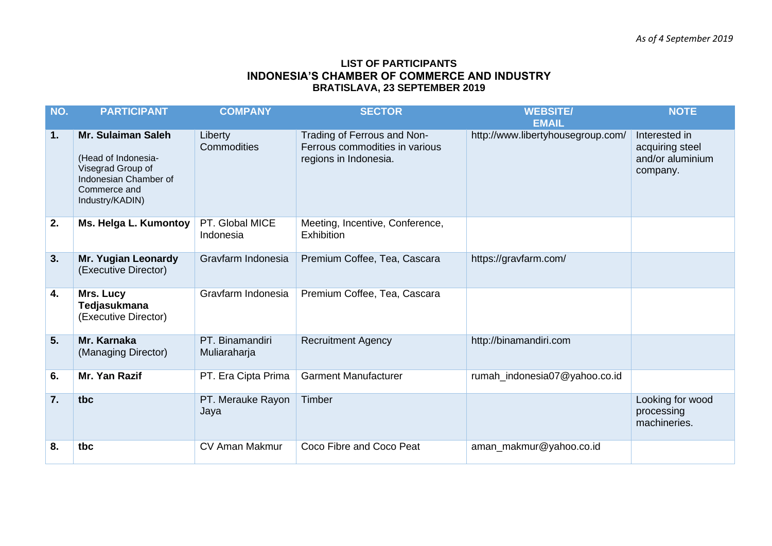## **LIST OF PARTICIPANTS INDONESIA'S CHAMBER OF COMMERCE AND INDUSTRY BRATISLAVA, 23 SEPTEMBER 2019**

| NO.              | <b>PARTICIPANT</b>                                                                                                                | <b>COMPANY</b>                  | <b>SECTOR</b>                                                                          | <b>WEBSITE/</b>                                   | <b>NOTE</b>                                                      |
|------------------|-----------------------------------------------------------------------------------------------------------------------------------|---------------------------------|----------------------------------------------------------------------------------------|---------------------------------------------------|------------------------------------------------------------------|
| 1.               | <b>Mr. Sulaiman Saleh</b><br>(Head of Indonesia-<br>Visegrad Group of<br>Indonesian Chamber of<br>Commerce and<br>Industry/KADIN) | Liberty<br>Commodities          | Trading of Ferrous and Non-<br>Ferrous commodities in various<br>regions in Indonesia. | <b>EMAIL</b><br>http://www.libertyhousegroup.com/ | Interested in<br>acquiring steel<br>and/or aluminium<br>company. |
| 2.               | Ms. Helga L. Kumontoy                                                                                                             | PT. Global MICE<br>Indonesia    | Meeting, Incentive, Conference,<br><b>Exhibition</b>                                   |                                                   |                                                                  |
| 3.               | <b>Mr. Yugian Leonardy</b><br>(Executive Director)                                                                                | Gravfarm Indonesia              | Premium Coffee, Tea, Cascara                                                           | https://gravfarm.com/                             |                                                                  |
| 4.               | Mrs. Lucy<br>Tedjasukmana<br>(Executive Director)                                                                                 | Gravfarm Indonesia              | Premium Coffee, Tea, Cascara                                                           |                                                   |                                                                  |
| 5.               | Mr. Karnaka<br>(Managing Director)                                                                                                | PT. Binamandiri<br>Muliaraharja | <b>Recruitment Agency</b>                                                              | http://binamandiri.com                            |                                                                  |
| 6.               | Mr. Yan Razif                                                                                                                     | PT. Era Cipta Prima             | <b>Garment Manufacturer</b>                                                            | rumah_indonesia07@yahoo.co.id                     |                                                                  |
| $\overline{7}$ . | tbc                                                                                                                               | PT. Merauke Rayon<br>Jaya       | Timber                                                                                 |                                                   | Looking for wood<br>processing<br>machineries.                   |
| 8.               | tbc                                                                                                                               | CV Aman Makmur                  | Coco Fibre and Coco Peat                                                               | aman_makmur@yahoo.co.id                           |                                                                  |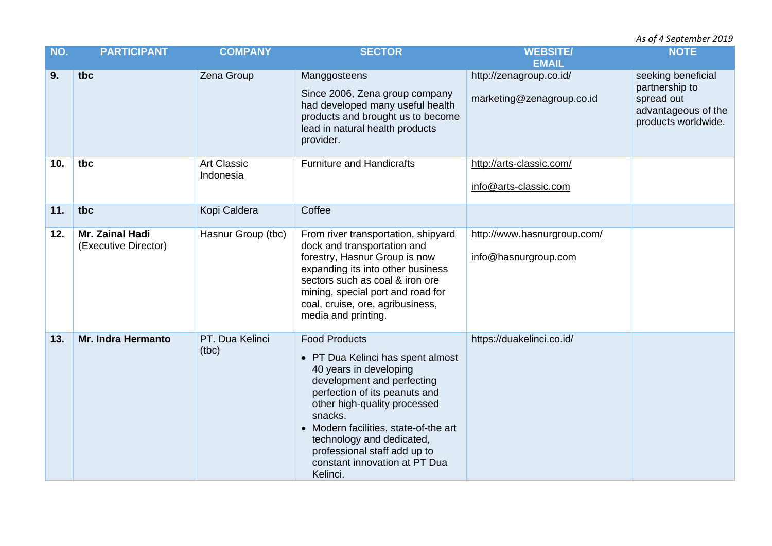*As of 4 September 2019* 

| NO. | <b>PARTICIPANT</b>                      | <b>COMPANY</b>                  | <b>SECTOR</b>                                                                                                                                                                                                                                                                                                                                    | <b>WEBSITE/</b><br><b>EMAIL</b>                      | <b>NOTE</b>                                                                                      |
|-----|-----------------------------------------|---------------------------------|--------------------------------------------------------------------------------------------------------------------------------------------------------------------------------------------------------------------------------------------------------------------------------------------------------------------------------------------------|------------------------------------------------------|--------------------------------------------------------------------------------------------------|
| 9.  | tbc                                     | Zena Group                      | Manggosteens<br>Since 2006, Zena group company<br>had developed many useful health<br>products and brought us to become<br>lead in natural health products<br>provider.                                                                                                                                                                          | http://zenagroup.co.id/<br>marketing@zenagroup.co.id | seeking beneficial<br>partnership to<br>spread out<br>advantageous of the<br>products worldwide. |
| 10. | tbc                                     | <b>Art Classic</b><br>Indonesia | <b>Furniture and Handicrafts</b>                                                                                                                                                                                                                                                                                                                 | http://arts-classic.com/<br>info@arts-classic.com    |                                                                                                  |
| 11. | tbc                                     | Kopi Caldera                    | Coffee                                                                                                                                                                                                                                                                                                                                           |                                                      |                                                                                                  |
| 12. | Mr. Zainal Hadi<br>(Executive Director) | Hasnur Group (tbc)              | From river transportation, shipyard<br>dock and transportation and<br>forestry, Hasnur Group is now<br>expanding its into other business<br>sectors such as coal & iron ore<br>mining, special port and road for<br>coal, cruise, ore, agribusiness,<br>media and printing.                                                                      | http://www.hasnurgroup.com/<br>info@hasnurgroup.com  |                                                                                                  |
| 13. | <b>Mr. Indra Hermanto</b>               | PT. Dua Kelinci<br>(tbc)        | <b>Food Products</b><br>• PT Dua Kelinci has spent almost<br>40 years in developing<br>development and perfecting<br>perfection of its peanuts and<br>other high-quality processed<br>snacks.<br>• Modern facilities, state-of-the art<br>technology and dedicated,<br>professional staff add up to<br>constant innovation at PT Dua<br>Kelinci. | https://duakelinci.co.id/                            |                                                                                                  |